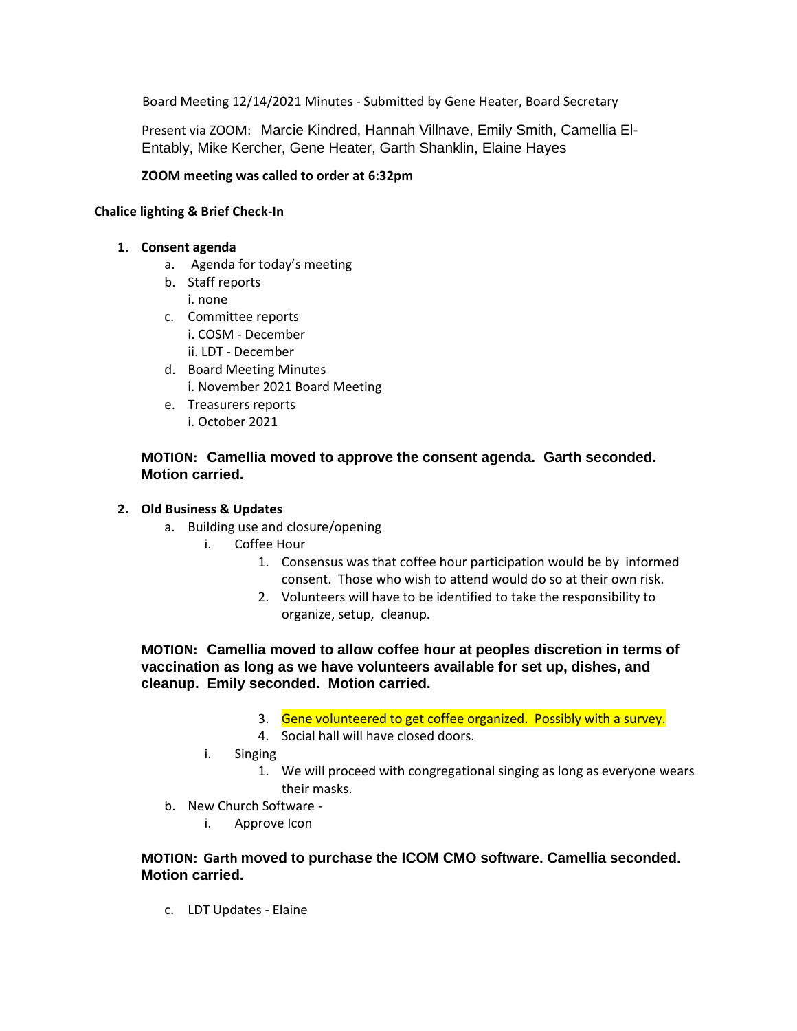Board Meeting 12/14/2021 Minutes - Submitted by Gene Heater, Board Secretary

Present via ZOOM: Marcie Kindred, Hannah Villnave, Emily Smith, Camellia El-Entably, Mike Kercher, Gene Heater, Garth Shanklin, Elaine Hayes

### **ZOOM meeting was called to order at 6:32pm**

#### **Chalice lighting & Brief Check-In**

#### **1. Consent agenda**

- a. Agenda for today's meeting
- b. Staff reports i. none
- c. Committee reports
	- i. COSM December
	- ii. LDT December
- d. Board Meeting Minutes i. November 2021 Board Meeting
- e. Treasurers reports i. October 2021

### **MOTION: Camellia moved to approve the consent agenda. Garth seconded. Motion carried.**

# **2. Old Business & Updates**

- a. Building use and closure/opening
	- i. Coffee Hour
		- 1. Consensus was that coffee hour participation would be by informed consent. Those who wish to attend would do so at their own risk.
		- 2. Volunteers will have to be identified to take the responsibility to organize, setup, cleanup.

**MOTION: Camellia moved to allow coffee hour at peoples discretion in terms of vaccination as long as we have volunteers available for set up, dishes, and cleanup. Emily seconded. Motion carried.**

- 3. Gene volunteered to get coffee organized. Possibly with a survey.
- 4. Social hall will have closed doors.
- i. Singing
	- 1. We will proceed with congregational singing as long as everyone wears their masks.
- b. New Church Software
	- i. Approve Icon

### **MOTION: Garth moved to purchase the ICOM CMO software. Camellia seconded. Motion carried.**

c. LDT Updates - Elaine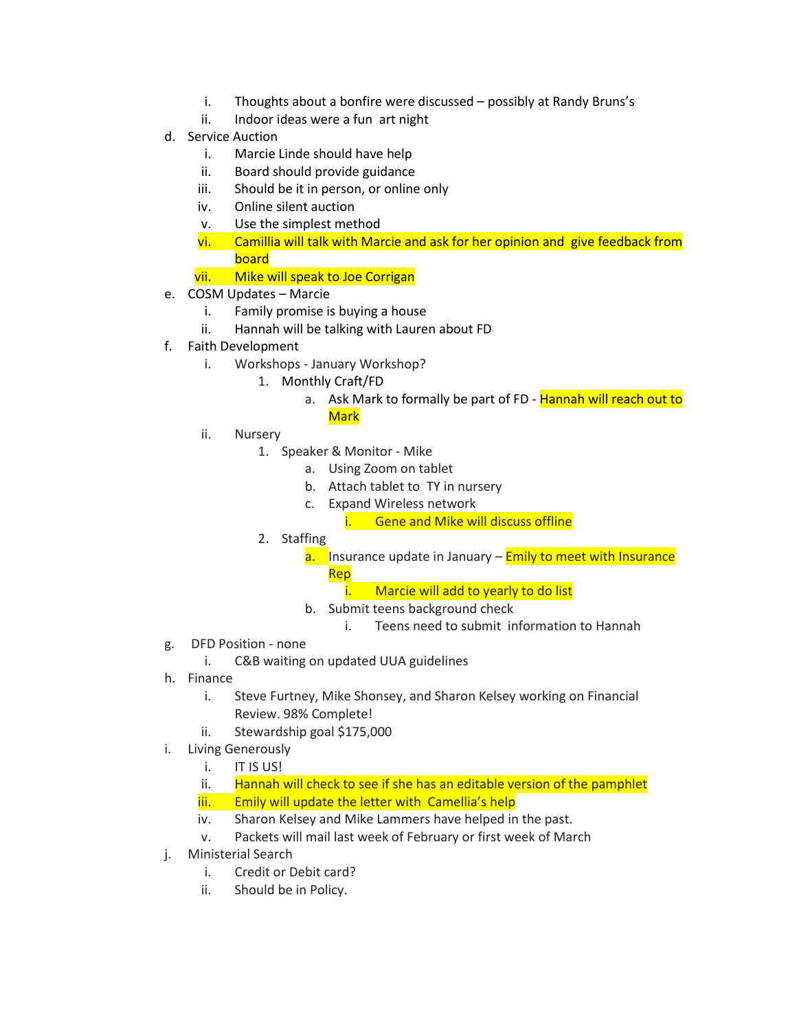- i. Thoughts about a bonfire were discussed possibly at Randy Bruns's
- ii. Indoor ideas were a fun art night
- d. Service Auction
	- i. Marcie Linde should have help
	- ii. Board should provide guidance
	- iii. Should be it in person, or online only
	- iv. Online silent auction
	- v. Use the simplest method
	- vi. Camillia will talk with Marcie and ask for her opinion and give feedback from board
	- vii. Mike will speak to Joe Corrigan
- e. COSM Updates Marcie
	- i. Family promise is buying a house
	- ii. Hannah will be talking with Lauren about FD
- f. Faith Development
	- i. Workshops January Workshop?
		- 1. Monthly Craft/FD
			- a. Ask Mark to formally be part of FD Hannah will reach out to **Mark**
	- ii. Nursery
		- 1. Speaker & Monitor Mike
			- a. Using Zoom on tablet
			- b. Attach tablet to TY in nursery
			- c. Expand Wireless network
				- i. Gene and Mike will discuss offline
		- 2. Staffing
			- a. Insurance update in January **Emily to meet with Insurance** Rep
				- i. Marcie will add to yearly to do list
			- b. Submit teens background check
				- i. Teens need to submit information to Hannah
- g. DFD Position none
	- i. C&B waiting on updated UUA guidelines
- h. Finance
	- i. Steve Furtney, Mike Shonsey, and Sharon Kelsey working on Financial Review. 98% Complete!
	- ii. Stewardship goal \$175,000
- i. Living Generously
	- i. IT IS US!
	- ii. Hannah will check to see if she has an editable version of the pamphlet iii. Emily will update the letter with Camellia's help
	- iv. Sharon Kelsey and Mike Lammers have helped in the past.
	- v. Packets will mail last week of February or first week of March
- j. Ministerial Search
	- i. Credit or Debit card?
	- ii. Should be in Policy.